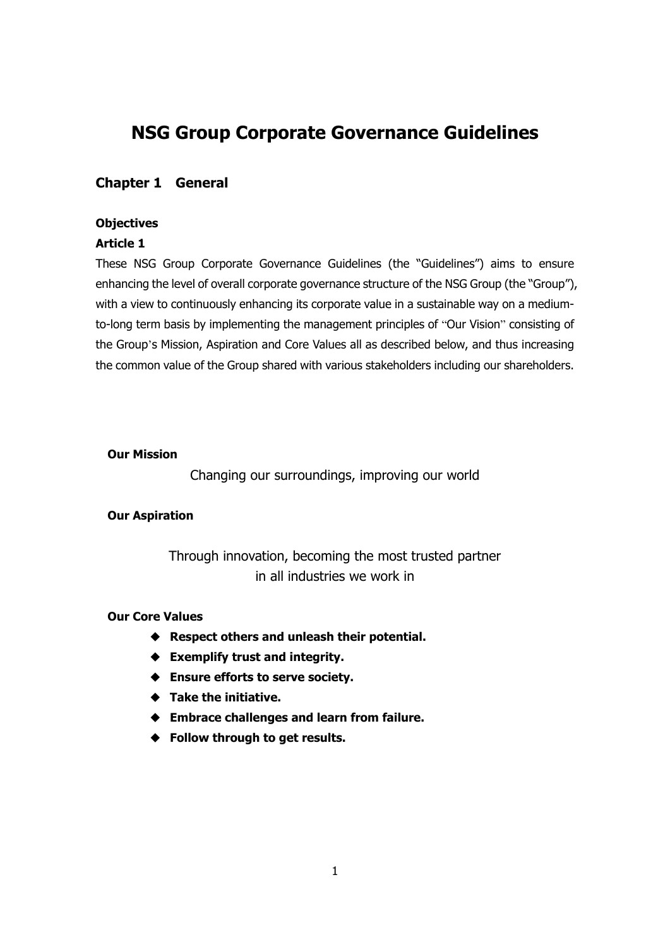# **NSG Group Corporate Governance Guidelines**

## **Chapter 1 General**

## **Objectives**

## **Article 1**

These NSG Group Corporate Governance Guidelines (the "Guidelines") aims to ensure enhancing the level of overall corporate governance structure of the NSG Group (the "Group"), with a view to continuously enhancing its corporate value in a sustainable way on a mediumto-long term basis by implementing the management principles of "Our Vision" consisting of the Group's Mission, Aspiration and Core Values all as described below, and thus increasing the common value of the Group shared with various stakeholders including our shareholders.

### **Our Mission**

Changing our surroundings, improving our world

## **Our Aspiration**

Through innovation, becoming the most trusted partner in all industries we work in

### **Our Core Values**

- **Respect others and unleash their potential.**
- **Exemplify trust and integrity.**
- **Ensure efforts to serve society.**
- **Take the initiative.**
- **Embrace challenges and learn from failure.**
- **Follow through to get results.**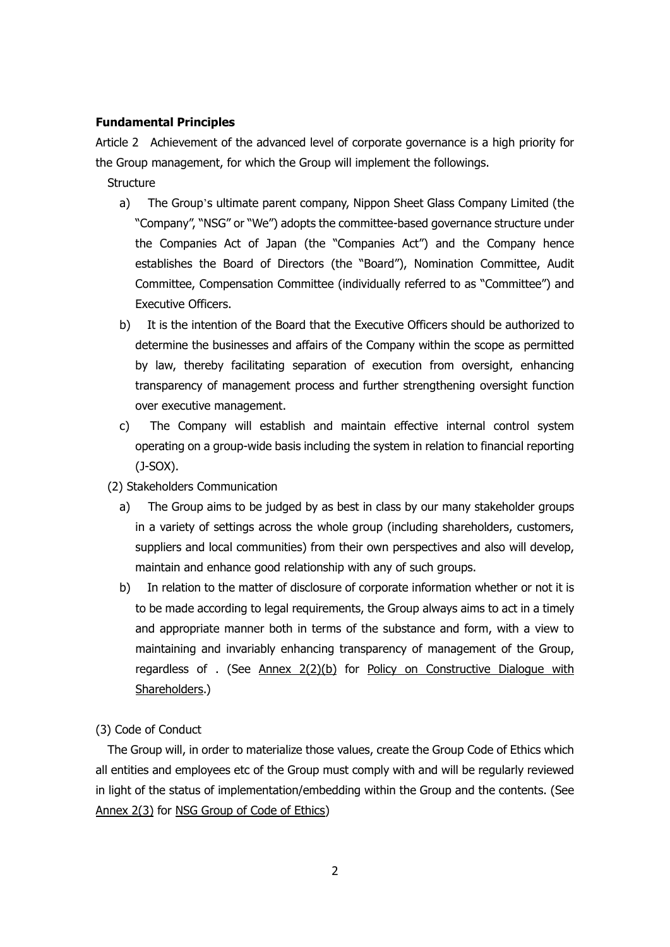#### **Fundamental Principles**

Article 2 Achievement of the advanced level of corporate governance is a high priority for the Group management, for which the Group will implement the followings.

**Structure** 

- a) The Group's ultimate parent company, Nippon Sheet Glass Company Limited (the "Company", "NSG" or "We") adopts the committee-based governance structure under the Companies Act of Japan (the "Companies Act") and the Company hence establishes the Board of Directors (the "Board"), Nomination Committee, Audit Committee, Compensation Committee (individually referred to as "Committee") and Executive Officers.
- b) It is the intention of the Board that the Executive Officers should be authorized to determine the businesses and affairs of the Company within the scope as permitted by law, thereby facilitating separation of execution from oversight, enhancing transparency of management process and further strengthening oversight function over executive management.
- c) The Company will establish and maintain effective internal control system operating on a group-wide basis including the system in relation to financial reporting (J-SOX).
- (2) Stakeholders Communication
	- a) The Group aims to be judged by as best in class by our many stakeholder groups in a variety of settings across the whole group (including shareholders, customers, suppliers and local communities) from their own perspectives and also will develop, maintain and enhance good relationship with any of such groups.
	- b) In relation to the matter of disclosure of corporate information whether or not it is to be made according to legal requirements, the Group always aims to act in a timely and appropriate manner both in terms of the substance and form, with a view to maintaining and invariably enhancing transparency of management of the Group, regardless of . (See Annex 2(2)(b) for Policy on Constructive Dialogue with Shareholders.)

(3) Code of Conduct

 The Group will, in order to materialize those values, create the Group Code of Ethics which all entities and employees etc of the Group must comply with and will be regularly reviewed in light of the status of implementation/embedding within the Group and the contents. (See Annex 2(3) for NSG Group of Code of Ethics)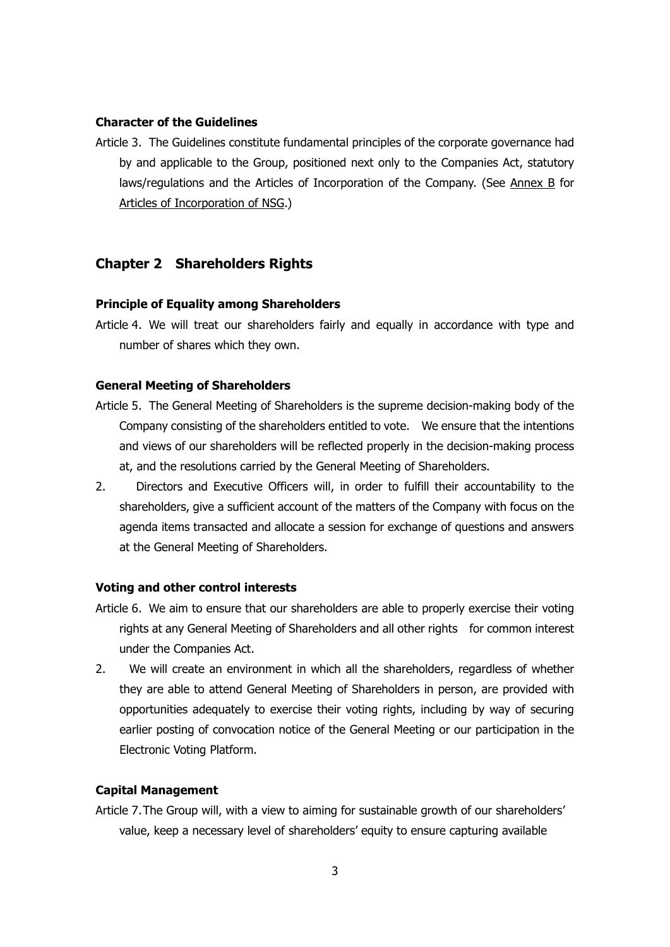#### **Character of the Guidelines**

Article 3. The Guidelines constitute fundamental principles of the corporate governance had by and applicable to the Group, positioned next only to the Companies Act, statutory laws/regulations and the Articles of Incorporation of the Company. (See Annex B for Articles of Incorporation of NSG.)

## **Chapter 2 Shareholders Rights**

#### **Principle of Equality among Shareholders**

Article 4. We will treat our shareholders fairly and equally in accordance with type and number of shares which they own.

#### **General Meeting of Shareholders**

- Article 5. The General Meeting of Shareholders is the supreme decision-making body of the Company consisting of the shareholders entitled to vote. We ensure that the intentions and views of our shareholders will be reflected properly in the decision-making process at, and the resolutions carried by the General Meeting of Shareholders.
- 2. Directors and Executive Officers will, in order to fulfill their accountability to the shareholders, give a sufficient account of the matters of the Company with focus on the agenda items transacted and allocate a session for exchange of questions and answers at the General Meeting of Shareholders.

#### **Voting and other control interests**

- Article 6. We aim to ensure that our shareholders are able to properly exercise their voting rights at any General Meeting of Shareholders and all other rights for common interest under the Companies Act.
- 2. We will create an environment in which all the shareholders, regardless of whether they are able to attend General Meeting of Shareholders in person, are provided with opportunities adequately to exercise their voting rights, including by way of securing earlier posting of convocation notice of the General Meeting or our participation in the Electronic Voting Platform.

#### **Capital Management**

Article 7.The Group will, with a view to aiming for sustainable growth of our shareholders' value, keep a necessary level of shareholders' equity to ensure capturing available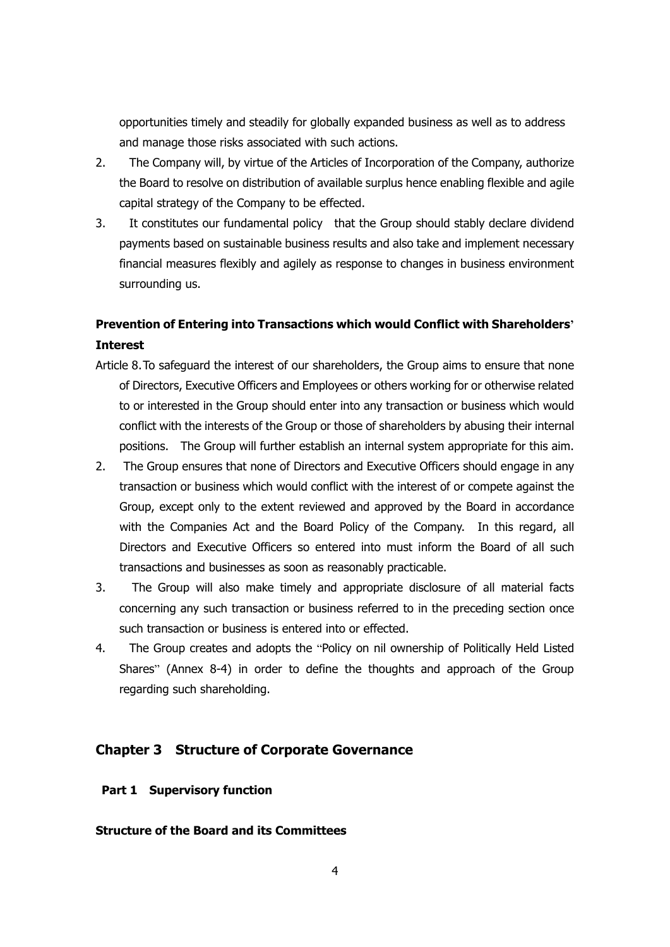opportunities timely and steadily for globally expanded business as well as to address and manage those risks associated with such actions.

- 2. The Company will, by virtue of the Articles of Incorporation of the Company, authorize the Board to resolve on distribution of available surplus hence enabling flexible and agile capital strategy of the Company to be effected.
- 3. It constitutes our fundamental policy that the Group should stably declare dividend payments based on sustainable business results and also take and implement necessary financial measures flexibly and agilely as response to changes in business environment surrounding us.

## **Prevention of Entering into Transactions which would Conflict with Shareholders' Interest**

- Article 8.To safeguard the interest of our shareholders, the Group aims to ensure that none of Directors, Executive Officers and Employees or others working for or otherwise related to or interested in the Group should enter into any transaction or business which would conflict with the interests of the Group or those of shareholders by abusing their internal positions. The Group will further establish an internal system appropriate for this aim.
- 2. The Group ensures that none of Directors and Executive Officers should engage in any transaction or business which would conflict with the interest of or compete against the Group, except only to the extent reviewed and approved by the Board in accordance with the Companies Act and the Board Policy of the Company. In this regard, all Directors and Executive Officers so entered into must inform the Board of all such transactions and businesses as soon as reasonably practicable.
- 3. The Group will also make timely and appropriate disclosure of all material facts concerning any such transaction or business referred to in the preceding section once such transaction or business is entered into or effected.
- 4. The Group creates and adopts the "Policy on nil ownership of Politically Held Listed Shares" (Annex 8-4) in order to define the thoughts and approach of the Group regarding such shareholding.

## **Chapter 3 Structure of Corporate Governance**

### **Part 1 Supervisory function**

### **Structure of the Board and its Committees**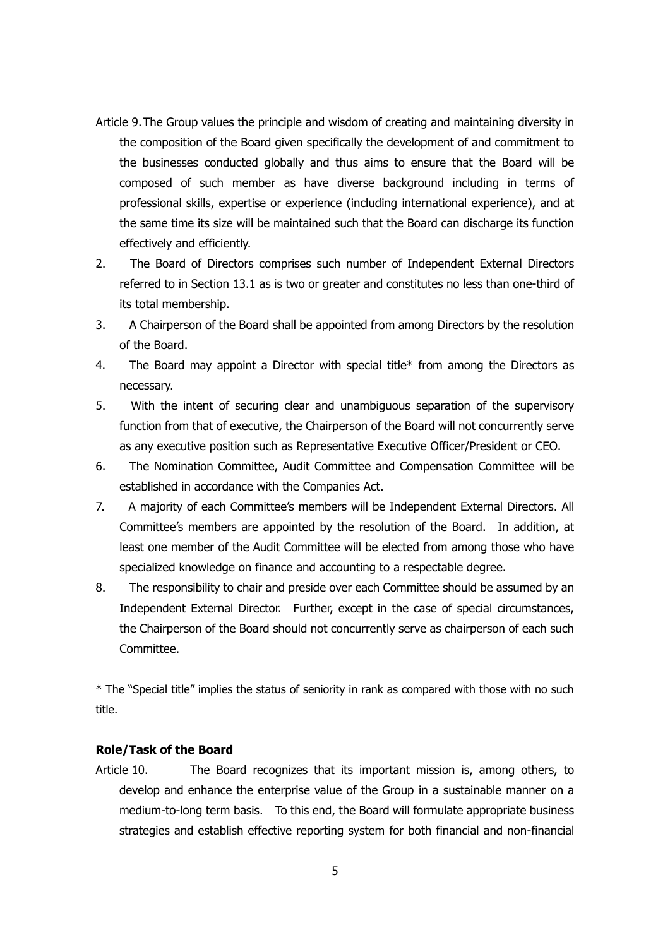- Article 9.The Group values the principle and wisdom of creating and maintaining diversity in the composition of the Board given specifically the development of and commitment to the businesses conducted globally and thus aims to ensure that the Board will be composed of such member as have diverse background including in terms of professional skills, expertise or experience (including international experience), and at the same time its size will be maintained such that the Board can discharge its function effectively and efficiently.
- 2. The Board of Directors comprises such number of Independent External Directors referred to in Section 13.1 as is two or greater and constitutes no less than one-third of its total membership.
- 3. A Chairperson of the Board shall be appointed from among Directors by the resolution of the Board.
- 4. The Board may appoint a Director with special title\* from among the Directors as necessary.
- 5. With the intent of securing clear and unambiguous separation of the supervisory function from that of executive, the Chairperson of the Board will not concurrently serve as any executive position such as Representative Executive Officer/President or CEO.
- 6. The Nomination Committee, Audit Committee and Compensation Committee will be established in accordance with the Companies Act.
- 7. A majority of each Committee's members will be Independent External Directors. All Committee's members are appointed by the resolution of the Board. In addition, at least one member of the Audit Committee will be elected from among those who have specialized knowledge on finance and accounting to a respectable degree.
- 8. The responsibility to chair and preside over each Committee should be assumed by an Independent External Director. Further, except in the case of special circumstances, the Chairperson of the Board should not concurrently serve as chairperson of each such **Committee**

\* The "Special title" implies the status of seniority in rank as compared with those with no such title.

## **Role/Task of the Board**

Article 10. The Board recognizes that its important mission is, among others, to develop and enhance the enterprise value of the Group in a sustainable manner on a medium-to-long term basis. To this end, the Board will formulate appropriate business strategies and establish effective reporting system for both financial and non-financial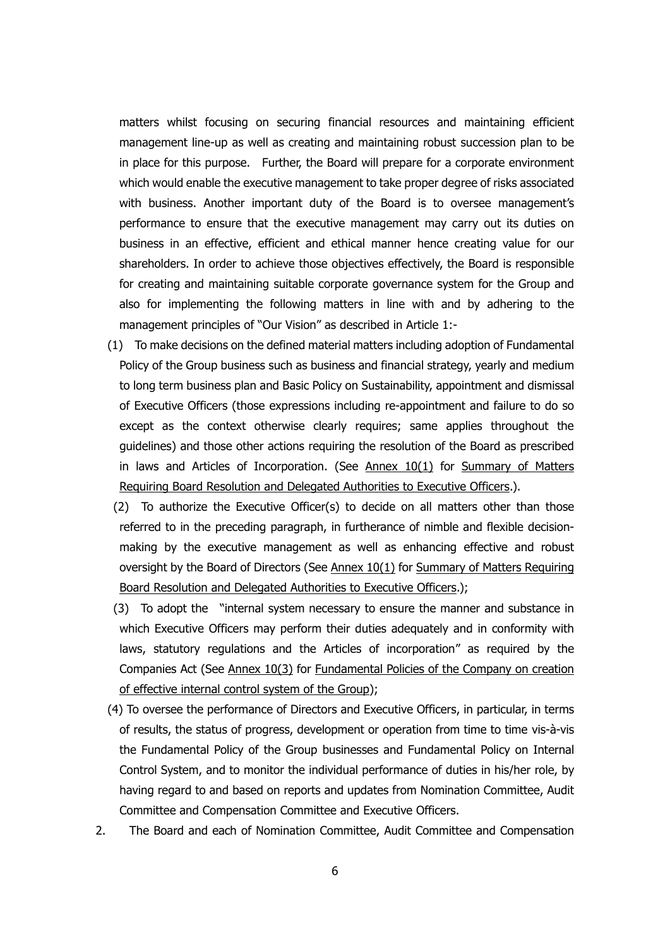matters whilst focusing on securing financial resources and maintaining efficient management line-up as well as creating and maintaining robust succession plan to be in place for this purpose. Further, the Board will prepare for a corporate environment which would enable the executive management to take proper degree of risks associated with business. Another important duty of the Board is to oversee management's performance to ensure that the executive management may carry out its duties on business in an effective, efficient and ethical manner hence creating value for our shareholders. In order to achieve those objectives effectively, the Board is responsible for creating and maintaining suitable corporate governance system for the Group and also for implementing the following matters in line with and by adhering to the management principles of "Our Vision" as described in Article 1:-

- (1) To make decisions on the defined material matters including adoption of Fundamental Policy of the Group business such as business and financial strategy, yearly and medium to long term business plan and Basic Policy on Sustainability, appointment and dismissal of Executive Officers (those expressions including re-appointment and failure to do so except as the context otherwise clearly requires; same applies throughout the guidelines) and those other actions requiring the resolution of the Board as prescribed in laws and Articles of Incorporation. (See  $\Delta$ nnex  $10(1)$  for Summary of Matters Requiring Board Resolution and Delegated Authorities to Executive Officers.).
- (2) To authorize the Executive Officer(s) to decide on all matters other than those referred to in the preceding paragraph, in furtherance of nimble and flexible decisionmaking by the executive management as well as enhancing effective and robust oversight by the Board of Directors (See Annex 10(1) for Summary of Matters Requiring Board Resolution and Delegated Authorities to Executive Officers.);
- (3) To adopt the "internal system necessary to ensure the manner and substance in which Executive Officers may perform their duties adequately and in conformity with laws, statutory regulations and the Articles of incorporation" as required by the Companies Act (See Annex 10(3) for Fundamental Policies of the Company on creation of effective internal control system of the Group);
- (4) To oversee the performance of Directors and Executive Officers, in particular, in terms of results, the status of progress, development or operation from time to time vis-à-vis the Fundamental Policy of the Group businesses and Fundamental Policy on Internal Control System, and to monitor the individual performance of duties in his/her role, by having regard to and based on reports and updates from Nomination Committee, Audit Committee and Compensation Committee and Executive Officers.
- 2. The Board and each of Nomination Committee, Audit Committee and Compensation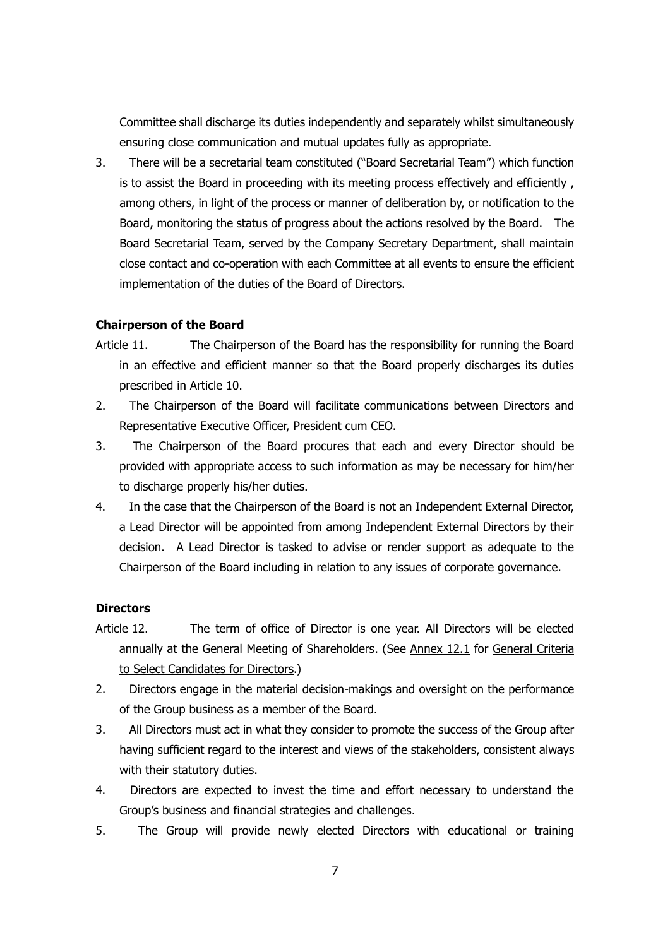Committee shall discharge its duties independently and separately whilst simultaneously ensuring close communication and mutual updates fully as appropriate.

3. There will be a secretarial team constituted ("Board Secretarial Team") which function is to assist the Board in proceeding with its meeting process effectively and efficiently , among others, in light of the process or manner of deliberation by, or notification to the Board, monitoring the status of progress about the actions resolved by the Board. The Board Secretarial Team, served by the Company Secretary Department, shall maintain close contact and co-operation with each Committee at all events to ensure the efficient implementation of the duties of the Board of Directors.

## **Chairperson of the Board**

- Article 11. The Chairperson of the Board has the responsibility for running the Board in an effective and efficient manner so that the Board properly discharges its duties prescribed in Article 10.
- 2. The Chairperson of the Board will facilitate communications between Directors and Representative Executive Officer, President cum CEO.
- 3. The Chairperson of the Board procures that each and every Director should be provided with appropriate access to such information as may be necessary for him/her to discharge properly his/her duties.
- 4. In the case that the Chairperson of the Board is not an Independent External Director, a Lead Director will be appointed from among Independent External Directors by their decision. A Lead Director is tasked to advise or render support as adequate to the Chairperson of the Board including in relation to any issues of corporate governance.

## **Directors**

- Article 12. The term of office of Director is one year. All Directors will be elected annually at the General Meeting of Shareholders. (See Annex 12.1 for General Criteria to Select Candidates for Directors.)
- 2. Directors engage in the material decision-makings and oversight on the performance of the Group business as a member of the Board.
- 3. All Directors must act in what they consider to promote the success of the Group after having sufficient regard to the interest and views of the stakeholders, consistent always with their statutory duties.
- 4. Directors are expected to invest the time and effort necessary to understand the Group's business and financial strategies and challenges.
- 5. The Group will provide newly elected Directors with educational or training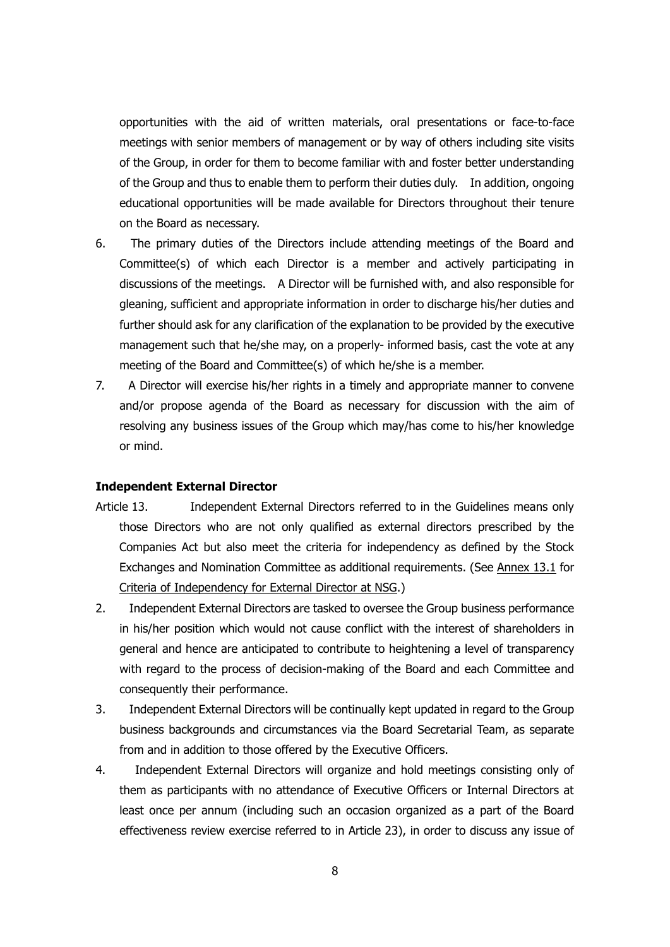opportunities with the aid of written materials, oral presentations or face-to-face meetings with senior members of management or by way of others including site visits of the Group, in order for them to become familiar with and foster better understanding of the Group and thus to enable them to perform their duties duly. In addition, ongoing educational opportunities will be made available for Directors throughout their tenure on the Board as necessary.

- 6. The primary duties of the Directors include attending meetings of the Board and Committee(s) of which each Director is a member and actively participating in discussions of the meetings. A Director will be furnished with, and also responsible for gleaning, sufficient and appropriate information in order to discharge his/her duties and further should ask for any clarification of the explanation to be provided by the executive management such that he/she may, on a properly- informed basis, cast the vote at any meeting of the Board and Committee(s) of which he/she is a member.
- 7. A Director will exercise his/her rights in a timely and appropriate manner to convene and/or propose agenda of the Board as necessary for discussion with the aim of resolving any business issues of the Group which may/has come to his/her knowledge or mind.

#### **Independent External Director**

- Article 13. Independent External Directors referred to in the Guidelines means only those Directors who are not only qualified as external directors prescribed by the Companies Act but also meet the criteria for independency as defined by the Stock Exchanges and Nomination Committee as additional requirements. (See Annex 13.1 for Criteria of Independency for External Director at NSG.)
- 2. Independent External Directors are tasked to oversee the Group business performance in his/her position which would not cause conflict with the interest of shareholders in general and hence are anticipated to contribute to heightening a level of transparency with regard to the process of decision-making of the Board and each Committee and consequently their performance.
- 3. Independent External Directors will be continually kept updated in regard to the Group business backgrounds and circumstances via the Board Secretarial Team, as separate from and in addition to those offered by the Executive Officers.
- 4. Independent External Directors will organize and hold meetings consisting only of them as participants with no attendance of Executive Officers or Internal Directors at least once per annum (including such an occasion organized as a part of the Board effectiveness review exercise referred to in Article 23), in order to discuss any issue of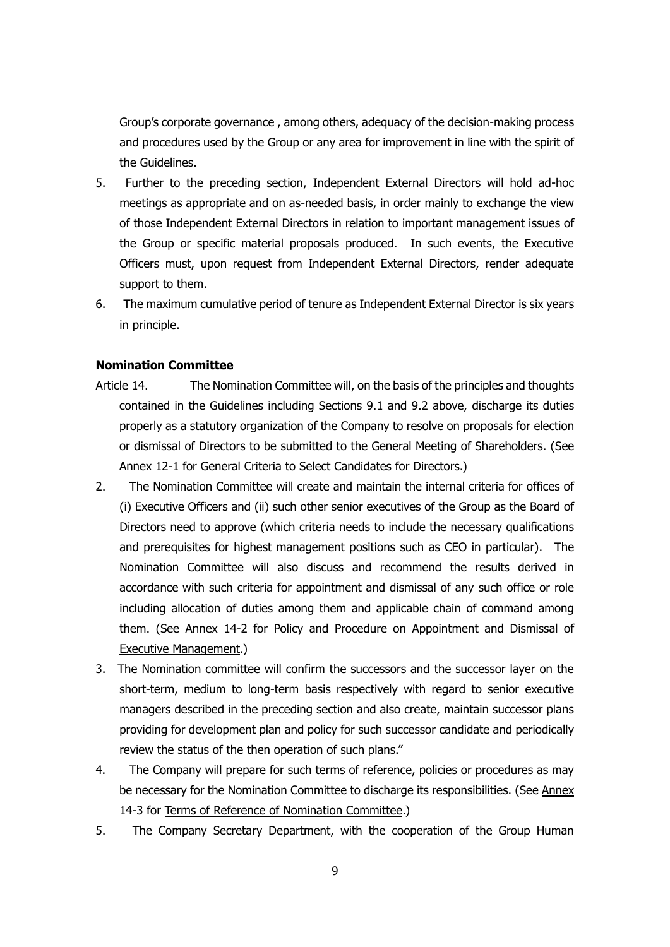Group's corporate governance , among others, adequacy of the decision-making process and procedures used by the Group or any area for improvement in line with the spirit of the Guidelines.

- 5. Further to the preceding section, Independent External Directors will hold ad-hoc meetings as appropriate and on as-needed basis, in order mainly to exchange the view of those Independent External Directors in relation to important management issues of the Group or specific material proposals produced. In such events, the Executive Officers must, upon request from Independent External Directors, render adequate support to them.
- 6. The maximum cumulative period of tenure as Independent External Director is six years in principle.

## **Nomination Committee**

- Article 14. The Nomination Committee will, on the basis of the principles and thoughts contained in the Guidelines including Sections 9.1 and 9.2 above, discharge its duties properly as a statutory organization of the Company to resolve on proposals for election or dismissal of Directors to be submitted to the General Meeting of Shareholders. (See Annex 12-1 for General Criteria to Select Candidates for Directors.)
- 2. The Nomination Committee will create and maintain the internal criteria for offices of (i) Executive Officers and (ii) such other senior executives of the Group as the Board of Directors need to approve (which criteria needs to include the necessary qualifications and prerequisites for highest management positions such as CEO in particular). The Nomination Committee will also discuss and recommend the results derived in accordance with such criteria for appointment and dismissal of any such office or role including allocation of duties among them and applicable chain of command among them. (See Annex 14-2 for Policy and Procedure on Appointment and Dismissal of Executive Management.)
- 3. The Nomination committee will confirm the successors and the successor layer on the short-term, medium to long-term basis respectively with regard to senior executive managers described in the preceding section and also create, maintain successor plans providing for development plan and policy for such successor candidate and periodically review the status of the then operation of such plans."
- 4. The Company will prepare for such terms of reference, policies or procedures as may be necessary for the Nomination Committee to discharge its responsibilities. (See Annex 14-3 for Terms of Reference of Nomination Committee.)
- 5. The Company Secretary Department, with the cooperation of the Group Human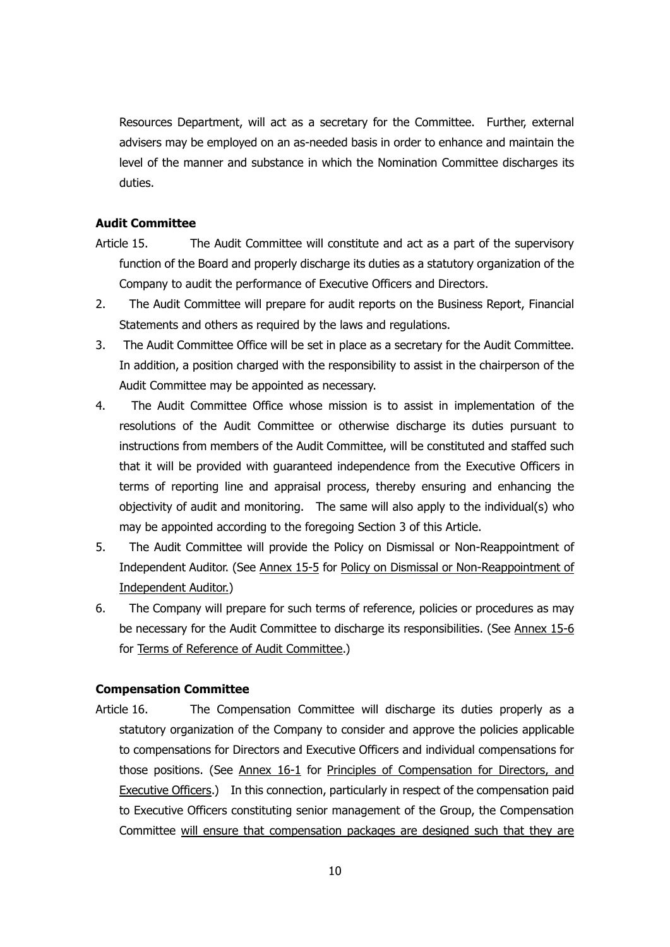Resources Department, will act as a secretary for the Committee. Further, external advisers may be employed on an as-needed basis in order to enhance and maintain the level of the manner and substance in which the Nomination Committee discharges its duties.

## **Audit Committee**

- Article 15. The Audit Committee will constitute and act as a part of the supervisory function of the Board and properly discharge its duties as a statutory organization of the Company to audit the performance of Executive Officers and Directors.
- 2. The Audit Committee will prepare for audit reports on the Business Report, Financial Statements and others as required by the laws and regulations.
- 3. The Audit Committee Office will be set in place as a secretary for the Audit Committee. In addition, a position charged with the responsibility to assist in the chairperson of the Audit Committee may be appointed as necessary.
- 4. The Audit Committee Office whose mission is to assist in implementation of the resolutions of the Audit Committee or otherwise discharge its duties pursuant to instructions from members of the Audit Committee, will be constituted and staffed such that it will be provided with guaranteed independence from the Executive Officers in terms of reporting line and appraisal process, thereby ensuring and enhancing the objectivity of audit and monitoring. The same will also apply to the individual(s) who may be appointed according to the foregoing Section 3 of this Article.
- 5. The Audit Committee will provide the Policy on Dismissal or Non-Reappointment of Independent Auditor. (See Annex 15-5 for Policy on Dismissal or Non-Reappointment of Independent Auditor.)
- 6. The Company will prepare for such terms of reference, policies or procedures as may be necessary for the Audit Committee to discharge its responsibilities. (See Annex 15-6 for Terms of Reference of Audit Committee.)

### **Compensation Committee**

Article 16. The Compensation Committee will discharge its duties properly as a statutory organization of the Company to consider and approve the policies applicable to compensations for Directors and Executive Officers and individual compensations for those positions. (See Annex 16-1 for Principles of Compensation for Directors, and Executive Officers.) In this connection, particularly in respect of the compensation paid to Executive Officers constituting senior management of the Group, the Compensation Committee will ensure that compensation packages are designed such that they are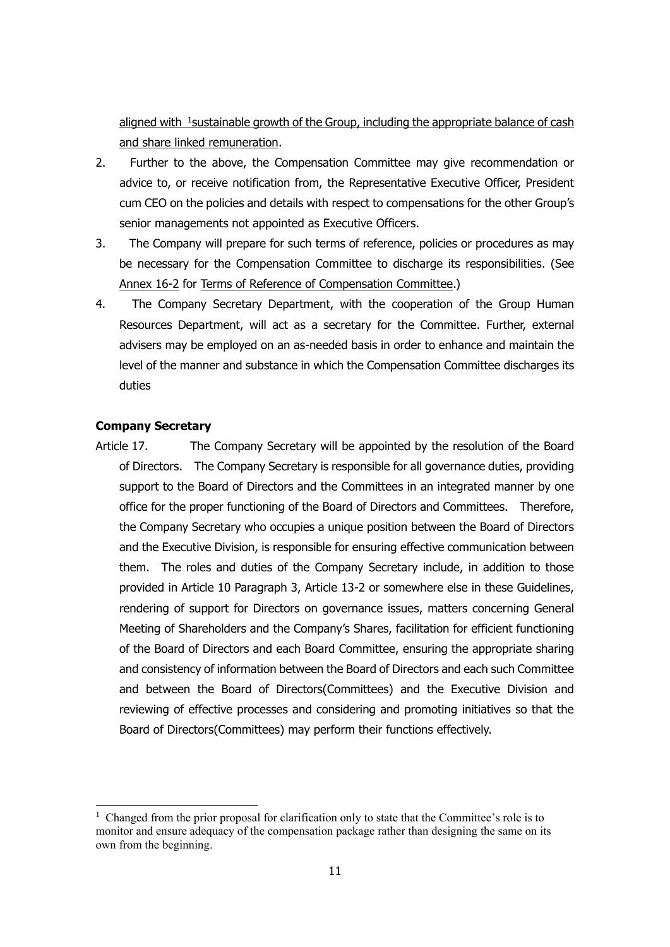aligned with <sup>1</sup>sustainable growth of the Group, including the appropriate balance of cash and share linked remuneration.

- 2. Further to the above, the Compensation Committee may give recommendation or advice to, or receive notification from, the Representative Executive Officer, President cum CEO on the policies and details with respect to compensations for the other Group's senior managements not appointed as Executive Officers.
- 3. The Company will prepare for such terms of reference, policies or procedures as may be necessary for the Compensation Committee to discharge its responsibilities. (See Annex 16-2 for Terms of Reference of Compensation Committee.)
- 4. The Company Secretary Department, with the cooperation of the Group Human Resources Department, will act as a secretary for the Committee. Further, external advisers may be employed on an as-needed basis in order to enhance and maintain the level of the manner and substance in which the Compensation Committee discharges its duties

## **Company Secretary**

<u>.</u>

Article 17. The Company Secretary will be appointed by the resolution of the Board of Directors. The Company Secretary is responsible for all governance duties, providing support to the Board of Directors and the Committees in an integrated manner by one office for the proper functioning of the Board of Directors and Committees. Therefore, the Company Secretary who occupies a unique position between the Board of Directors and the Executive Division, is responsible for ensuring effective communication between them. The roles and duties of the Company Secretary include, in addition to those provided in Article 10 Paragraph 3, Article 13-2 or somewhere else in these Guidelines, rendering of support for Directors on governance issues, matters concerning General Meeting of Shareholders and the Company's Shares, facilitation for efficient functioning of the Board of Directors and each Board Committee, ensuring the appropriate sharing and consistency of information between the Board of Directors and each such Committee and between the Board of Directors(Committees) and the Executive Division and reviewing of effective processes and considering and promoting initiatives so that the Board of Directors(Committees) may perform their functions effectively.

<sup>&</sup>lt;sup>1</sup> Changed from the prior proposal for clarification only to state that the Committee's role is to monitor and ensure adequacy of the compensation package rather than designing the same on its own from the beginning.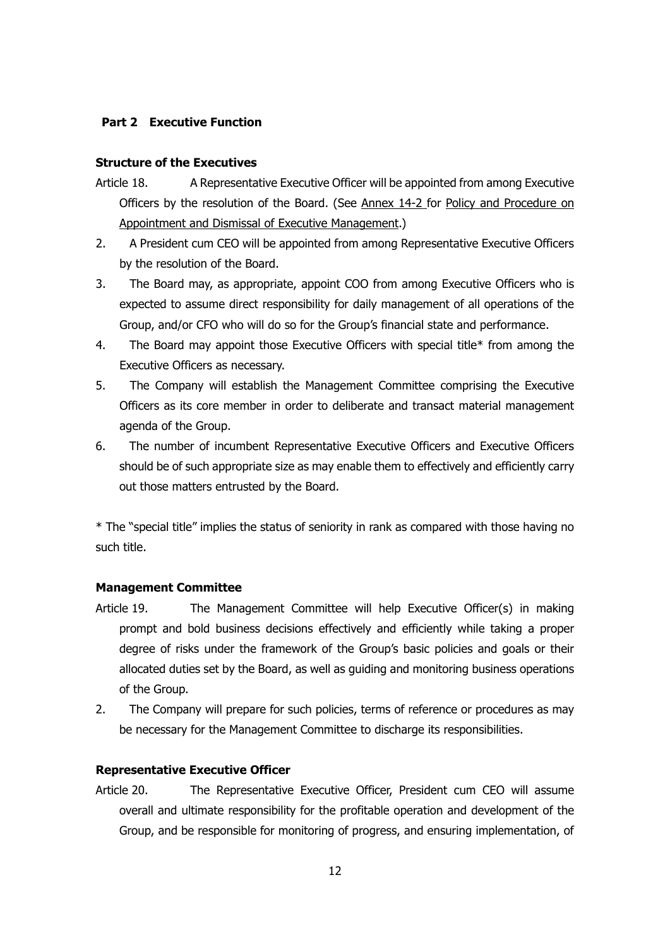## **Part 2 Executive Function**

## **Structure of the Executives**

- Article 18. A Representative Executive Officer will be appointed from among Executive Officers by the resolution of the Board. (See Annex 14-2 for Policy and Procedure on Appointment and Dismissal of Executive Management.)
- 2. A President cum CEO will be appointed from among Representative Executive Officers by the resolution of the Board.
- 3. The Board may, as appropriate, appoint COO from among Executive Officers who is expected to assume direct responsibility for daily management of all operations of the Group, and/or CFO who will do so for the Group's financial state and performance.
- 4. The Board may appoint those Executive Officers with special title\* from among the Executive Officers as necessary.
- 5. The Company will establish the Management Committee comprising the Executive Officers as its core member in order to deliberate and transact material management agenda of the Group.
- 6. The number of incumbent Representative Executive Officers and Executive Officers should be of such appropriate size as may enable them to effectively and efficiently carry out those matters entrusted by the Board.

\* The "special title" implies the status of seniority in rank as compared with those having no such title.

## **Management Committee**

- Article 19. The Management Committee will help Executive Officer(s) in making prompt and bold business decisions effectively and efficiently while taking a proper degree of risks under the framework of the Group's basic policies and goals or their allocated duties set by the Board, as well as guiding and monitoring business operations of the Group.
- 2. The Company will prepare for such policies, terms of reference or procedures as may be necessary for the Management Committee to discharge its responsibilities.

### **Representative Executive Officer**

Article 20. The Representative Executive Officer, President cum CEO will assume overall and ultimate responsibility for the profitable operation and development of the Group, and be responsible for monitoring of progress, and ensuring implementation, of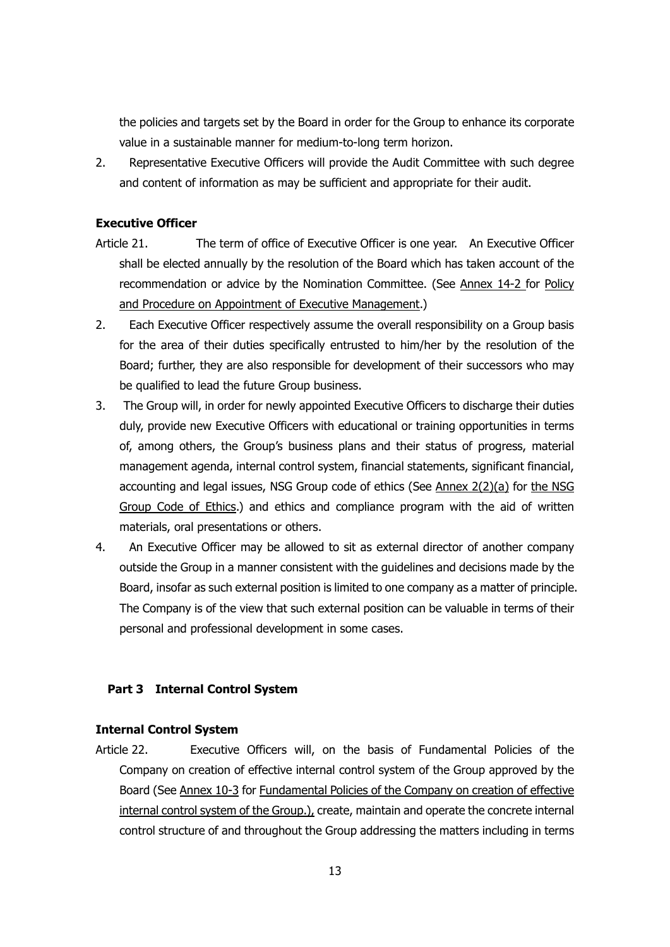the policies and targets set by the Board in order for the Group to enhance its corporate value in a sustainable manner for medium-to-long term horizon.

2. Representative Executive Officers will provide the Audit Committee with such degree and content of information as may be sufficient and appropriate for their audit.

## **Executive Officer**

- Article 21. The term of office of Executive Officer is one year. An Executive Officer shall be elected annually by the resolution of the Board which has taken account of the recommendation or advice by the Nomination Committee. (See Annex 14-2 for Policy and Procedure on Appointment of Executive Management.)
- 2. Each Executive Officer respectively assume the overall responsibility on a Group basis for the area of their duties specifically entrusted to him/her by the resolution of the Board; further, they are also responsible for development of their successors who may be qualified to lead the future Group business.
- 3. The Group will, in order for newly appointed Executive Officers to discharge their duties duly, provide new Executive Officers with educational or training opportunities in terms of, among others, the Group's business plans and their status of progress, material management agenda, internal control system, financial statements, significant financial, accounting and legal issues, NSG Group code of ethics (See Annex 2(2)(a) for the NSG Group Code of Ethics.) and ethics and compliance program with the aid of written materials, oral presentations or others.
- 4. An Executive Officer may be allowed to sit as external director of another company outside the Group in a manner consistent with the guidelines and decisions made by the Board, insofar as such external position is limited to one company as a matter of principle. The Company is of the view that such external position can be valuable in terms of their personal and professional development in some cases.

## **Part 3 Internal Control System**

### **Internal Control System**

Article 22. Executive Officers will, on the basis of Fundamental Policies of the Company on creation of effective internal control system of the Group approved by the Board (See Annex 10-3 for Fundamental Policies of the Company on creation of effective internal control system of the Group.), create, maintain and operate the concrete internal control structure of and throughout the Group addressing the matters including in terms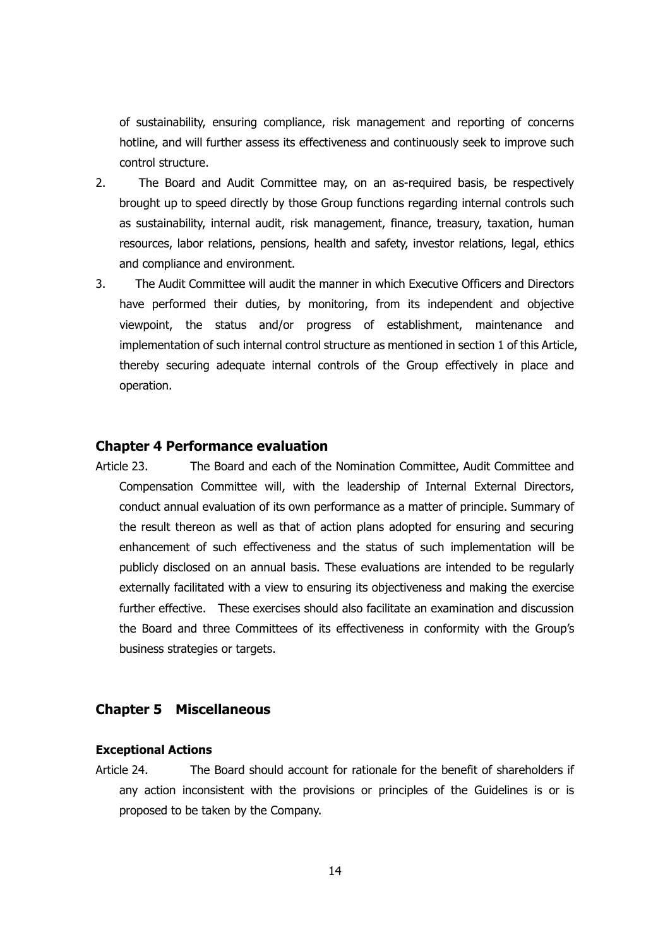of sustainability, ensuring compliance, risk management and reporting of concerns hotline, and will further assess its effectiveness and continuously seek to improve such control structure.

- 2. The Board and Audit Committee may, on an as-required basis, be respectively brought up to speed directly by those Group functions regarding internal controls such as sustainability, internal audit, risk management, finance, treasury, taxation, human resources, labor relations, pensions, health and safety, investor relations, legal, ethics and compliance and environment.
- 3. The Audit Committee will audit the manner in which Executive Officers and Directors have performed their duties, by monitoring, from its independent and objective viewpoint, the status and/or progress of establishment, maintenance and implementation of such internal control structure as mentioned in section 1 of this Article, thereby securing adequate internal controls of the Group effectively in place and operation.

### **Chapter 4 Performance evaluation**

Article 23. The Board and each of the Nomination Committee, Audit Committee and Compensation Committee will, with the leadership of Internal External Directors, conduct annual evaluation of its own performance as a matter of principle. Summary of the result thereon as well as that of action plans adopted for ensuring and securing enhancement of such effectiveness and the status of such implementation will be publicly disclosed on an annual basis. These evaluations are intended to be regularly externally facilitated with a view to ensuring its objectiveness and making the exercise further effective. These exercises should also facilitate an examination and discussion the Board and three Committees of its effectiveness in conformity with the Group's business strategies or targets.

## **Chapter 5 Miscellaneous**

#### **Exceptional Actions**

Article 24. The Board should account for rationale for the benefit of shareholders if any action inconsistent with the provisions or principles of the Guidelines is or is proposed to be taken by the Company.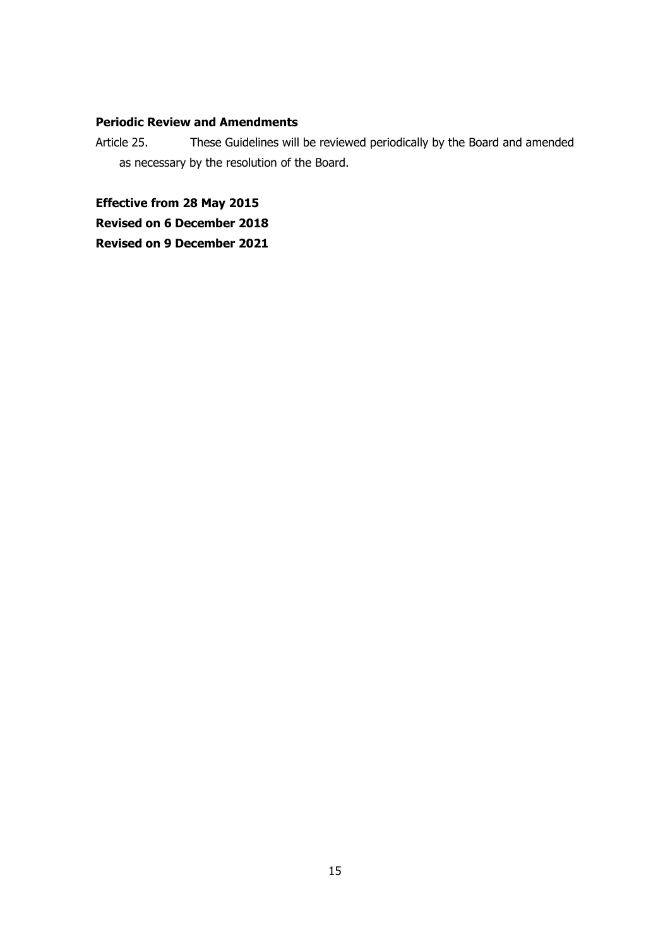## **Periodic Review and Amendments**

Article 25. These Guidelines will be reviewed periodically by the Board and amended as necessary by the resolution of the Board.

**Effective from 28 May 2015**

**Revised on 6 December 2018**

**Revised on 9 December 2021**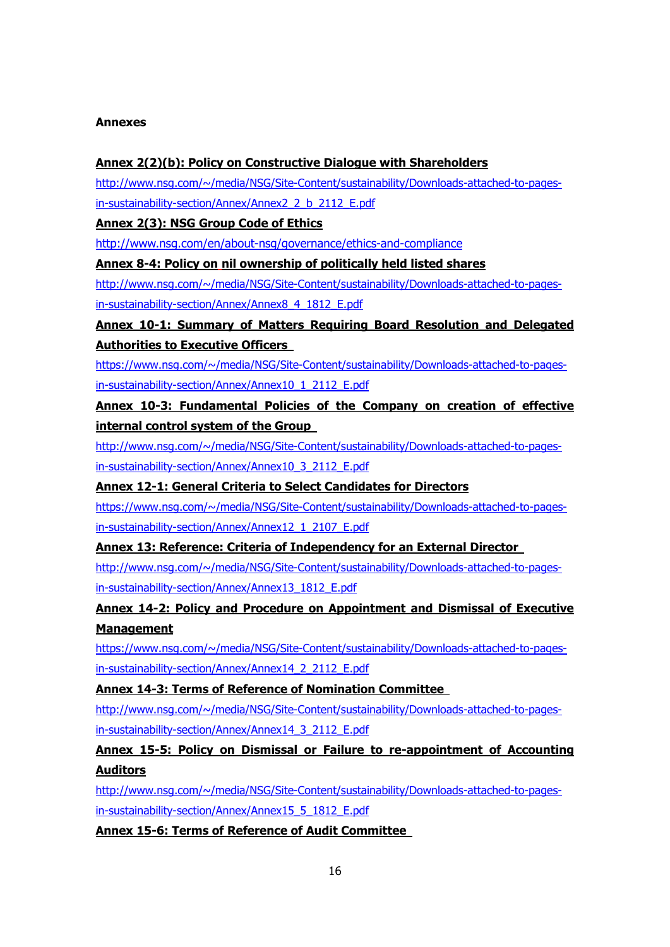### **Annexes**

## **Annex 2(2)(b): Policy on Constructive Dialogue with Shareholders**

[http://www.nsg.com/~/media/NSG/Site-Content/sustainability/Downloads-attached-to-pages](http://www.nsg.com/~/media/NSG/Site-Content/sustainability/Downloads-attached-to-pages-in-sustainability-section/Annex/Annex2_2_b_2112_E.pdf)[in-sustainability-section/Annex/Annex2\\_2\\_b\\_2112\\_E.pdf](http://www.nsg.com/~/media/NSG/Site-Content/sustainability/Downloads-attached-to-pages-in-sustainability-section/Annex/Annex2_2_b_2112_E.pdf)

**Annex 2(3): NSG Group Code of Ethics**

<http://www.nsg.com/en/about-nsg/governance/ethics-and-compliance>

**Annex 8-4: Policy on nil ownership of politically held listed shares**

[http://www.nsg.com/~/media/NSG/Site-Content/sustainability/Downloads-attached-to-pages](http://www.nsg.com/~/media/NSG/Site-Content/sustainability/Downloads-attached-to-pages-in-sustainability-section/Annex/Annex8_4_1812_E.pdf)[in-sustainability-section/Annex/Annex8\\_4\\_1812\\_E.pdf](http://www.nsg.com/~/media/NSG/Site-Content/sustainability/Downloads-attached-to-pages-in-sustainability-section/Annex/Annex8_4_1812_E.pdf)

## **Annex 10-1: Summary of Matters Requiring Board Resolution and Delegated Authorities to Executive Officers**

[https://www.nsg.com/~/media/NSG/Site-Content/sustainability/Downloads-attached-to-pages](https://www.nsg.com/~/media/NSG/Site-Content/sustainability/Downloads-attached-to-pages-in-sustainability-section/Annex/Annex10_1_2112_E.pdf)[in-sustainability-section/Annex/Annex10\\_1\\_2112\\_E.pdf](https://www.nsg.com/~/media/NSG/Site-Content/sustainability/Downloads-attached-to-pages-in-sustainability-section/Annex/Annex10_1_2112_E.pdf)

**Annex 10-3: Fundamental Policies of the Company on creation of effective internal control system of the Group**

[http://www.nsg.com/~/media/NSG/Site-Content/sustainability/Downloads-attached-to-pages](http://www.nsg.com/~/media/NSG/Site-Content/sustainability/Downloads-attached-to-pages-in-sustainability-section/Annex/Annex10_3_2112_E.pdf)[in-sustainability-section/Annex/Annex10\\_3\\_2112\\_E.pdf](http://www.nsg.com/~/media/NSG/Site-Content/sustainability/Downloads-attached-to-pages-in-sustainability-section/Annex/Annex10_3_2112_E.pdf)

**Annex 12-1: General Criteria to Select Candidates for Directors**

[https://www.nsg.com/~/media/NSG/Site-Content/sustainability/Downloads-attached-to-pages](https://www.nsg.com/~/media/NSG/Site-Content/sustainability/Downloads-attached-to-pages-in-sustainability-section/Annex/Annex12_1_2107_E.pdf)[in-sustainability-section/Annex/Annex12\\_1\\_2107\\_E.pdf](https://www.nsg.com/~/media/NSG/Site-Content/sustainability/Downloads-attached-to-pages-in-sustainability-section/Annex/Annex12_1_2107_E.pdf)

**Annex 13: Reference: Criteria of Independency for an External Director**

[http://www.nsg.com/~/media/NSG/Site-Content/sustainability/Downloads-attached-to-pages](http://www.nsg.com/~/media/NSG/Site-Content/sustainability/Downloads-attached-to-pages-in-sustainability-section/Annex/Annex13_1812_E.pdf)[in-sustainability-section/Annex/Annex13\\_1812\\_E.pdf](http://www.nsg.com/~/media/NSG/Site-Content/sustainability/Downloads-attached-to-pages-in-sustainability-section/Annex/Annex13_1812_E.pdf)

**Annex 14-2: Policy and Procedure on Appointment and Dismissal of Executive Management**

[https://www.nsg.com/~/media/NSG/Site-Content/sustainability/Downloads-attached-to-pages](https://www.nsg.com/~/media/NSG/Site-Content/sustainability/Downloads-attached-to-pages-in-sustainability-section/Annex/Annex14_2_2112_E.pdf)[in-sustainability-section/Annex/Annex14\\_2\\_2112\\_E.pdf](https://www.nsg.com/~/media/NSG/Site-Content/sustainability/Downloads-attached-to-pages-in-sustainability-section/Annex/Annex14_2_2112_E.pdf)

**Annex 14-3: Terms of Reference of Nomination Committee**

[http://www.nsg.com/~/media/NSG/Site-Content/sustainability/Downloads-attached-to-pages](http://www.nsg.com/~/media/NSG/Site-Content/sustainability/Downloads-attached-to-pages-in-sustainability-section/Annex/Annex14_3_2112_E.pdf)[in-sustainability-section/Annex/Annex14\\_3\\_2112\\_E.pdf](http://www.nsg.com/~/media/NSG/Site-Content/sustainability/Downloads-attached-to-pages-in-sustainability-section/Annex/Annex14_3_2112_E.pdf)

## **Annex 15-5: Policy on Dismissal or Failure to re-appointment of Accounting Auditors**

[http://www.nsg.com/~/media/NSG/Site-Content/sustainability/Downloads-attached-to-pages](http://www.nsg.com/~/media/NSG/Site-Content/sustainability/Downloads-attached-to-pages-in-sustainability-section/Annex/Annex15_5_1812_E.pdf)[in-sustainability-section/Annex/Annex15\\_5\\_1812\\_E.pdf](http://www.nsg.com/~/media/NSG/Site-Content/sustainability/Downloads-attached-to-pages-in-sustainability-section/Annex/Annex15_5_1812_E.pdf)

**Annex 15-6: Terms of Reference of Audit Committee**